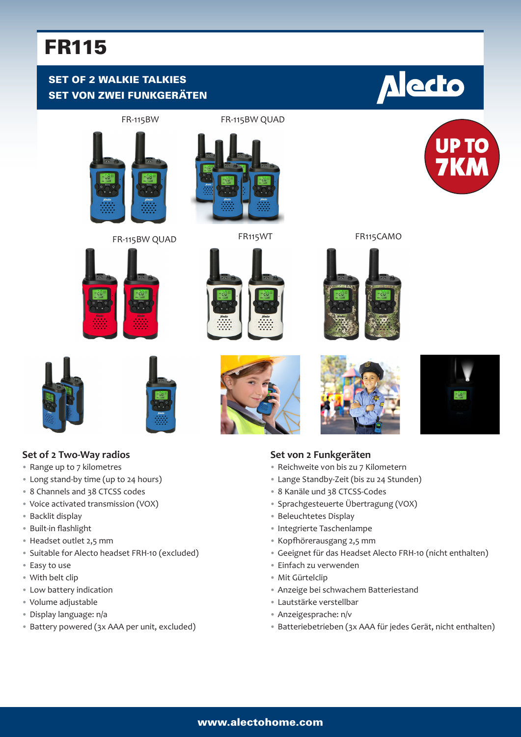## FR115

### SET OF 2 WALKIE TALKIES SET VON ZWEI FUNKGERÄTEN

# **Alecto**



FR-115BW QUAD FR115WT FR115CAMO

















**UP TO** 



**Set of 2 Two-Way radios** • Range up to 7 kilometres

• Long stand-by time (up to 24 hours) • 8 Channels and 38 CTCSS codes



#### **Set von 2 Funkgeräten**

- Reichweite von bis zu 7 Kilometern
- Lange Standby-Zeit (bis zu 24 Stunden)
- 8 Kanäle und 38 CTCSS-Codes
- Sprachgesteuerte Übertragung (VOX)
- Beleuchtetes Display
- Integrierte Taschenlampe
- Kopfhörerausgang 2,5 mm
- Geeignet für das Headset Alecto FRH-10 (nicht enthalten)
- Einfach zu verwenden
- Mit Gürtelclip
- Anzeige bei schwachem Batteriestand
- Lautstärke verstellbar
- Anzeigesprache: n/v
- Batteriebetrieben (3x AAA für jedes Gerät, nicht enthalten)
- Voice activated transmission (VOX)
- Backlit display
- Built-in flashlight
- Headset outlet 2,5 mm
- Suitable for Alecto headset FRH-10 (excluded)
- Easy to use
- With belt clip
- Low battery indication
- Volume adjustable
- Display language: n/a
- Battery powered (3x AAA per unit, excluded)